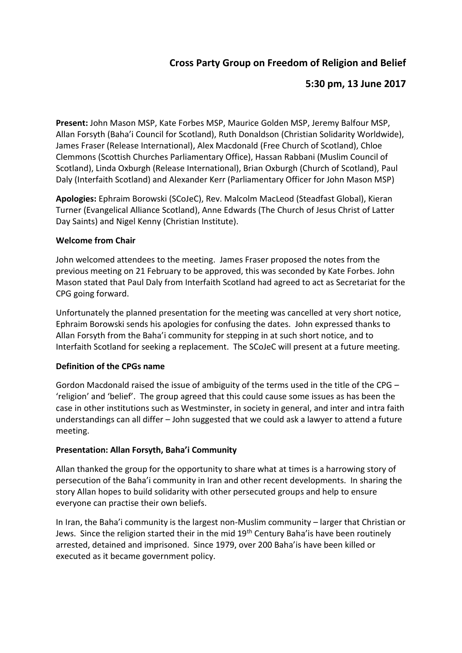# **Cross Party Group on Freedom of Religion and Belief**

## **5:30 pm, 13 June 2017**

**Present:** John Mason MSP, Kate Forbes MSP, Maurice Golden MSP, Jeremy Balfour MSP, Allan Forsyth (Baha'i Council for Scotland), Ruth Donaldson (Christian Solidarity Worldwide), James Fraser (Release International), Alex Macdonald (Free Church of Scotland), Chloe Clemmons (Scottish Churches Parliamentary Office), Hassan Rabbani (Muslim Council of Scotland), Linda Oxburgh (Release International), Brian Oxburgh (Church of Scotland), Paul Daly (Interfaith Scotland) and Alexander Kerr (Parliamentary Officer for John Mason MSP)

**Apologies:** Ephraim Borowski (SCoJeC), Rev. Malcolm MacLeod (Steadfast Global), Kieran Turner (Evangelical Alliance Scotland), Anne Edwards (The Church of Jesus Christ of Latter Day Saints) and Nigel Kenny (Christian Institute).

### **Welcome from Chair**

John welcomed attendees to the meeting. James Fraser proposed the notes from the previous meeting on 21 February to be approved, this was seconded by Kate Forbes. John Mason stated that Paul Daly from Interfaith Scotland had agreed to act as Secretariat for the CPG going forward.

Unfortunately the planned presentation for the meeting was cancelled at very short notice, Ephraim Borowski sends his apologies for confusing the dates. John expressed thanks to Allan Forsyth from the Baha'i community for stepping in at such short notice, and to Interfaith Scotland for seeking a replacement. The SCoJeC will present at a future meeting.

### **Definition of the CPGs name**

Gordon Macdonald raised the issue of ambiguity of the terms used in the title of the CPG – 'religion' and 'belief'. The group agreed that this could cause some issues as has been the case in other institutions such as Westminster, in society in general, and inter and intra faith understandings can all differ – John suggested that we could ask a lawyer to attend a future meeting.

### **Presentation: Allan Forsyth, Baha'i Community**

Allan thanked the group for the opportunity to share what at times is a harrowing story of persecution of the Baha'i community in Iran and other recent developments. In sharing the story Allan hopes to build solidarity with other persecuted groups and help to ensure everyone can practise their own beliefs.

In Iran, the Baha'i community is the largest non-Muslim community – larger that Christian or Jews. Since the religion started their in the mid 19<sup>th</sup> Century Baha'is have been routinely arrested, detained and imprisoned. Since 1979, over 200 Baha'is have been killed or executed as it became government policy.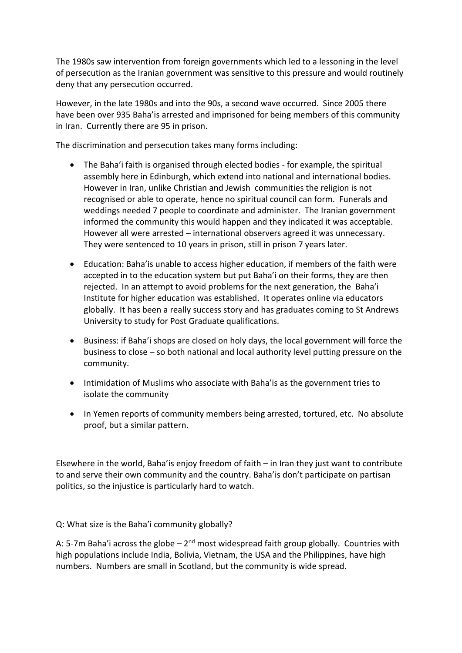The 1980s saw intervention from foreign governments which led to a lessoning in the level of persecution as the Iranian government was sensitive to this pressure and would routinely deny that any persecution occurred.

However, in the late 1980s and into the 90s, a second wave occurred. Since 2005 there have been over 935 Baha'is arrested and imprisoned for being members of this community in Iran. Currently there are 95 in prison.

The discrimination and persecution takes many forms including:

- The Baha'i faith is organised through elected bodies for example, the spiritual assembly here in Edinburgh, which extend into national and international bodies. However in Iran, unlike Christian and Jewish communities the religion is not recognised or able to operate, hence no spiritual council can form. Funerals and weddings needed 7 people to coordinate and administer. The Iranian government informed the community this would happen and they indicated it was acceptable. However all were arrested – international observers agreed it was unnecessary. They were sentenced to 10 years in prison, still in prison 7 years later.
- Education: Baha'is unable to access higher education, if members of the faith were accepted in to the education system but put Baha'i on their forms, they are then rejected. In an attempt to avoid problems for the next generation, the Baha'i Institute for higher education was established. It operates online via educators globally. It has been a really success story and has graduates coming to St Andrews University to study for Post Graduate qualifications.
- Business: if Baha'i shops are closed on holy days, the local government will force the business to close – so both national and local authority level putting pressure on the community.
- Intimidation of Muslims who associate with Baha' is as the government tries to isolate the community
- In Yemen reports of community members being arrested, tortured, etc. No absolute proof, but a similar pattern.

Elsewhere in the world, Baha'is enjoy freedom of faith – in Iran they just want to contribute to and serve their own community and the country. Baha'is don't participate on partisan politics, so the injustice is particularly hard to watch.

Q: What size is the Baha'i community globally?

A: 5-7m Baha'i across the globe - 2<sup>nd</sup> most widespread faith group globally. Countries with high populations include India, Bolivia, Vietnam, the USA and the Philippines, have high numbers. Numbers are small in Scotland, but the community is wide spread.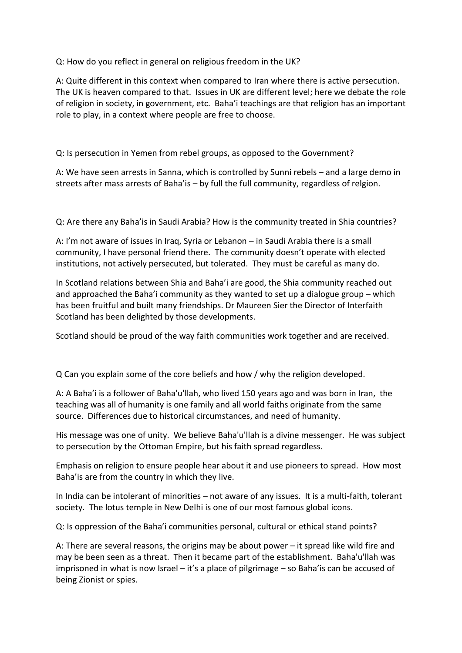Q: How do you reflect in general on religious freedom in the UK?

A: Quite different in this context when compared to Iran where there is active persecution. The UK is heaven compared to that. Issues in UK are different level; here we debate the role of religion in society, in government, etc. Baha'i teachings are that religion has an important role to play, in a context where people are free to choose.

Q: Is persecution in Yemen from rebel groups, as opposed to the Government?

A: We have seen arrests in Sanna, which is controlled by Sunni rebels – and a large demo in streets after mass arrests of Baha'is – by full the full community, regardless of relgion.

Q: Are there any Baha'is in Saudi Arabia? How is the community treated in Shia countries?

A: I'm not aware of issues in Iraq, Syria or Lebanon – in Saudi Arabia there is a small community, I have personal friend there. The community doesn't operate with elected institutions, not actively persecuted, but tolerated. They must be careful as many do.

In Scotland relations between Shia and Baha'i are good, the Shia community reached out and approached the Baha'i community as they wanted to set up a dialogue group – which has been fruitful and built many friendships. Dr Maureen Sier the Director of Interfaith Scotland has been delighted by those developments.

Scotland should be proud of the way faith communities work together and are received.

Q Can you explain some of the core beliefs and how / why the religion developed.

A: A Baha'i is a follower of Baha'u'llah, who lived 150 years ago and was born in Iran, the teaching was all of humanity is one family and all world faiths originate from the same source. Differences due to historical circumstances, and need of humanity.

His message was one of unity. We believe Baha'u'llah is a divine messenger. He was subject to persecution by the Ottoman Empire, but his faith spread regardless.

Emphasis on religion to ensure people hear about it and use pioneers to spread. How most Baha'is are from the country in which they live.

In India can be intolerant of minorities – not aware of any issues. It is a multi-faith, tolerant society. The lotus temple in New Delhi is one of our most famous global icons.

Q: Is oppression of the Baha'i communities personal, cultural or ethical stand points?

A: There are several reasons, the origins may be about power – it spread like wild fire and may be been seen as a threat. Then it became part of the establishment. Baha'u'llah was imprisoned in what is now Israel – it's a place of pilgrimage – so Baha'is can be accused of being Zionist or spies.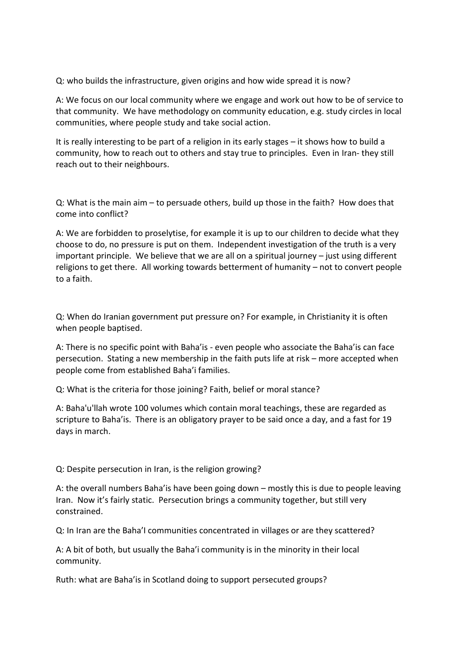Q: who builds the infrastructure, given origins and how wide spread it is now?

A: We focus on our local community where we engage and work out how to be of service to that community. We have methodology on community education, e.g. study circles in local communities, where people study and take social action.

It is really interesting to be part of a religion in its early stages – it shows how to build a community, how to reach out to others and stay true to principles. Even in Iran- they still reach out to their neighbours.

Q: What is the main aim – to persuade others, build up those in the faith? How does that come into conflict?

A: We are forbidden to proselytise, for example it is up to our children to decide what they choose to do, no pressure is put on them. Independent investigation of the truth is a very important principle. We believe that we are all on a spiritual journey – just using different religions to get there. All working towards betterment of humanity – not to convert people to a faith.

Q: When do Iranian government put pressure on? For example, in Christianity it is often when people baptised.

A: There is no specific point with Baha'is - even people who associate the Baha'is can face persecution. Stating a new membership in the faith puts life at risk – more accepted when people come from established Baha'i families.

Q: What is the criteria for those joining? Faith, belief or moral stance?

A: Baha'u'llah wrote 100 volumes which contain moral teachings, these are regarded as scripture to Baha'is. There is an obligatory prayer to be said once a day, and a fast for 19 days in march.

Q: Despite persecution in Iran, is the religion growing?

A: the overall numbers Baha'is have been going down – mostly this is due to people leaving Iran. Now it's fairly static. Persecution brings a community together, but still very constrained.

Q: In Iran are the Baha'I communities concentrated in villages or are they scattered?

A: A bit of both, but usually the Baha'i community is in the minority in their local community.

Ruth: what are Baha'is in Scotland doing to support persecuted groups?